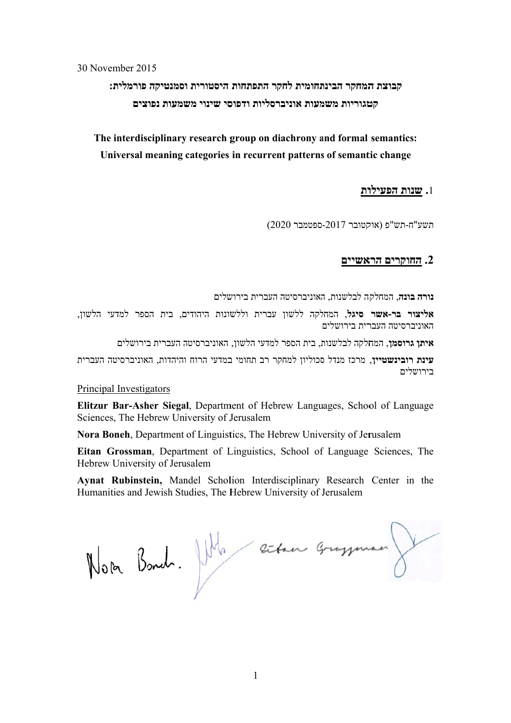30 N November 2 2015

**רמלית: סמנטיקה פו היסטורית ו ר התפתחות תחומית לחק המחקר הבינת קבוצת ה ם שמעות נפוצי סי שינוי מש רסליות ודפוס מעות אוניבר טגוריות משמ קט**

The interdisciplinary research group on diachrony and formal semantics: Universal meaning categories in recurrent patterns of semantic change

## **ות שנות הפעילו .**1 **ש**

(20 ספטמבר 020 קטובר -2017 "ח-תש"פ (אוק תשע

## **אשיים חוקרים הרא .2 הח**

תשע"ח-תש"פ (אוקטובר 2017-ספטמבר 2020)<br>**2. <u>החוקרים הראשיים</u><br>נורה בונה,** המחלקה לבלשנות, האוניברסיטה העברית בירושלים

לשון, ר למדעי הל ם, בית הספר שונות היהודים עברית וללש לקה ללשון **סיגל**, המחל **ור בר-אשר אליצ** האוניברסיטה העברית בירושלים

ושלים ה העברית ביר האוניברסיטה למדעי הלשון, ת, בית הספר ל חלקה לבלשנות **גרוסמן**, המח **איתן**

**עינת רובינשטיין**, מרכז מנדל סכוליון למחקר רב תחומי במדעי הרוח והיהדות, האוניברסיטה העברית בירושלים

Principal Investigators

Elitzur Bar-Asher Siegal, Department of Hebrew Languages, School of Language Sciences, The Hebrew University of Jerusalem

Nora Boneh, Department of Linguistics, The Hebrew University of Jerusalem

Eitan Grossman, Department of Linguistics, School of Language Sciences, The Hebrew University of Jerusalem

Aynat Rubinstein, Mandel Scholion Interdisciplinary Research Center in the Humanities and Jewish Studies, The Hebrew University of Jerusalem

Noter Bond. July entre grossman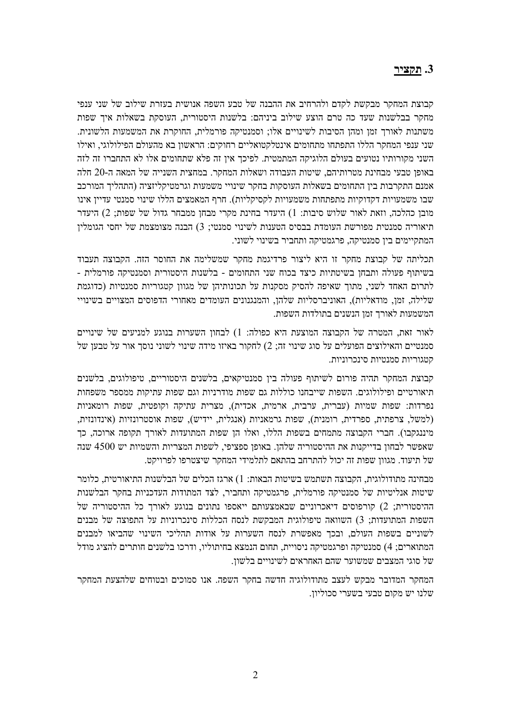### **.3 תקציר**

קבוצת המחקר מבקשת לקדם ולהרחיב את ההבנה של טבע השפה אנושית בעזרת שילוב של שני ענפי מחקר בבלשנות שעד כה טרם הוצע שילוב ביניהם: בלשנות היסטורית, העוסקת בשאלות איך שפות משתנות לאורך זמן ומהן הסיבות לשינויים אלו; וסמנטיקה פורמלית, החוקרת את המשמעות הלשונית. שני ענפי המחקר הללו התפתחו מתחומים אינטלקטואליים רחוקים: הראשון בא מהעולם הפילולוגי, ואילו השני מקורותיו נטועים בעולם הלוגיקה המתמטית. לפיכך אין זה פלא שתחומים אלו לא התחברו זה לזה באופן טבעי מבחינת מטרותיהם, שיטות העבודה ושאלות המחקר. במחצית השנייה של המאה ה20- חלה אמנם התקרבות בין התחומים בשאלות העוסקות בחקר שינויי משמעות וגרמטיקליזציה (התהליך המורכב שבו משמעויות דקדוקיות מתפתחות משמעויות לקסיקליות). חרף המאמצים הללו שינוי סמנטי עדיין אינו מובן כהלכה, וזאת לאור שלוש סיבות: 1) היעדר בחינת מקרי מבחן ממבחר גדול של שפות; 2) היעדר תיאוריה סמנטית מפורשת העומדת בבסיס הטענות לשינוי סמנטי; 3) הבנה מצומצמת של יחסי הגומלין המתקיימים בין סמנטיקה, פרגמטיקה ותחביר בשינוי לשוני.

תכליתה של קבוצת מחקר זו היא ליצור פרדיגמת מחקר שמשלימה את החוסר הזה. הקבוצה תעבוד בשיתוף פעולה ותבחן בשיטתיות כיצד בכוח שני התחומים - בלשנות היסטורית וסמנטיקה פורמלית - לתרום האחד לשני, מתוך שאיפה להסיק מסקנות על תכונותיהן של מגוון קטגוריות סמנטיות (כדוגמת שלילה, זמן, מודאליות), האוניברסליות שלהן, והמנגנונים העומדים מאחורי הדפוסים המצויים בשינויי המשמעות לאורך זמן הנשנים בתולדות השפות.

לאור זאת, המטרה של הקבוצה המוצעת היא כפולה: 1) לבחון השערות בנוגע למניעים של שינויים סמנטיים והאילוצים הפועלים על סוג שינוי זה; 2) לחקור באיזו מידה שינוי לשוני נוסך אור על טבען של קטגוריות סמנטיות סינכרוניות.

קבוצת המחקר תהיה פורום לשיתוף פעולה בין סמנטיקאים, בלשנים היסטוריים, טיפולוגים, בלשנים תיאורטיים ופילולוגים. השפות שייבחנו כוללות גם שפות מודרניות וגם שפות עתיקות ממספר משפחות נפרדות: שפות שמיות (עברית, ערבית, ארמית, אכדית), מצרית עתיקה וקופטית, שפות רומאניות (למשל, צרפתית, ספרדית, רומנית), שפות גרמאניות (אנגלית, יידיש), שפות אוסטרונזיות (אינדונזית, מיננגקבו). חברי הקבוצה מתמחים בשפות הללו, ואלו הן שפות המתועדות לאורך תקופה ארוכה, כך שאפשר לבחון בדייקנות את ההיסטוריה שלהן. באופן ספציפי, לשפות המצריות והשמיות יש 4500 שנה של תיעוד. מגוון שפות זה יכול להתרחב בהתאם לתלמידי המחקר שיצטרפו לפרויקט.

מבחינה מתודולוגית, הקבוצה תשתמש בשיטות הבאות: 1) ארגז הכלים של הבלשנות התיאורטית, כלומר שיטות אנליטיות של סמנטיקה פורמלית, פרגמטיקה ותחביר, לצד המתודות העדכניות בחקר הבלשנות ההיסטורית; 2) קורפוסים דיאכרוניים שבאמצעותם ייאספו נתונים בנוגע לאורך כל ההיסטוריה של השפות המתועדות; 3) השוואה טיפולוגית המבקשת לנסח הכללות סינכרוניות על התפוצה של מבנים לשוניים בשפות העולם, ובכך מאפשרת לנסח השערות על אודות תהליכי השינוי שהביאו למבנים המתוארים; 4) סמנטיקה ופרגמטיקה ניסויית, תחום הנמצא בחיתוליו, ודרכו בלשנים חותרים להציג מודל של סוגי המצבים שמשוער שהם האחראים לשינויים בלשון.

המחקר המדובר מבקש לעצב מתודולוגיה חדשה בחקר השפה. אנו סמוכים ובטוחים שלהצעת המחקר שלנו יש מקום טבעי בשערי סכוליון.

 $\overline{2}$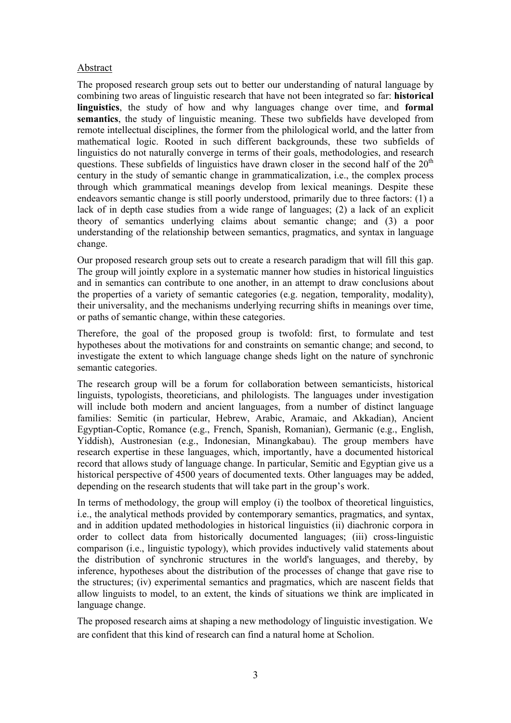### Abstract

The proposed research group sets out to better our understanding of natural language by combining two areas of linguistic research that have not been integrated so far: **historical linguistics**, the study of how and why languages change over time, and **formal semantics**, the study of linguistic meaning. These two subfields have developed from remote intellectual disciplines, the former from the philological world, and the latter from mathematical logic. Rooted in such different backgrounds, these two subfields of linguistics do not naturally converge in terms of their goals, methodologies, and research questions. These subfields of linguistics have drawn closer in the second half of the  $20<sup>th</sup>$ century in the study of semantic change in grammaticalization, i.e., the complex process through which grammatical meanings develop from lexical meanings. Despite these endeavors semantic change is still poorly understood, primarily due to three factors: (1) a lack of in depth case studies from a wide range of languages; (2) a lack of an explicit theory of semantics underlying claims about semantic change; and (3) a poor understanding of the relationship between semantics, pragmatics, and syntax in language change.

Our proposed research group sets out to create a research paradigm that will fill this gap. The group will jointly explore in a systematic manner how studies in historical linguistics and in semantics can contribute to one another, in an attempt to draw conclusions about the properties of a variety of semantic categories (e.g. negation, temporality, modality), their universality, and the mechanisms underlying recurring shifts in meanings over time, or paths of semantic change, within these categories.

Therefore, the goal of the proposed group is twofold: first, to formulate and test hypotheses about the motivations for and constraints on semantic change; and second, to investigate the extent to which language change sheds light on the nature of synchronic semantic categories.

The research group will be a forum for collaboration between semanticists, historical linguists, typologists, theoreticians, and philologists. The languages under investigation will include both modern and ancient languages, from a number of distinct language families: Semitic (in particular, Hebrew, Arabic, Aramaic, and Akkadian), Ancient Egyptian-Coptic, Romance (e.g., French, Spanish, Romanian), Germanic (e.g., English, Yiddish), Austronesian (e.g., Indonesian, Minangkabau). The group members have research expertise in these languages, which, importantly, have a documented historical record that allows study of language change. In particular, Semitic and Egyptian give us a historical perspective of 4500 years of documented texts. Other languages may be added, depending on the research students that will take part in the group's work.

In terms of methodology, the group will employ (i) the toolbox of theoretical linguistics, i.e., the analytical methods provided by contemporary semantics, pragmatics, and syntax, and in addition updated methodologies in historical linguistics (ii) diachronic corpora in order to collect data from historically documented languages; (iii) cross-linguistic comparison (i.e., linguistic typology), which provides inductively valid statements about the distribution of synchronic structures in the world's languages, and thereby, by inference, hypotheses about the distribution of the processes of change that gave rise to the structures; (iv) experimental semantics and pragmatics, which are nascent fields that allow linguists to model, to an extent, the kinds of situations we think are implicated in language change.

The proposed research aims at shaping a new methodology of linguistic investigation. We are confident that this kind of research can find a natural home at Scholion.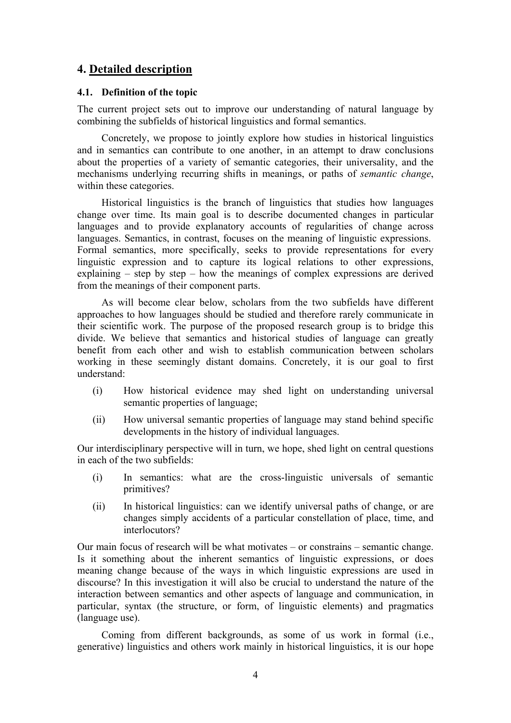## **4. Detailed description**

### **4.1. Definition of the topic**

The current project sets out to improve our understanding of natural language by combining the subfields of historical linguistics and formal semantics.

 Concretely, we propose to jointly explore how studies in historical linguistics and in semantics can contribute to one another, in an attempt to draw conclusions about the properties of a variety of semantic categories, their universality, and the mechanisms underlying recurring shifts in meanings, or paths of *semantic change*, within these categories.

 Historical linguistics is the branch of linguistics that studies how languages change over time. Its main goal is to describe documented changes in particular languages and to provide explanatory accounts of regularities of change across languages. Semantics, in contrast, focuses on the meaning of linguistic expressions. Formal semantics, more specifically, seeks to provide representations for every linguistic expression and to capture its logical relations to other expressions, explaining – step by step – how the meanings of complex expressions are derived from the meanings of their component parts.

 As will become clear below, scholars from the two subfields have different approaches to how languages should be studied and therefore rarely communicate in their scientific work. The purpose of the proposed research group is to bridge this divide. We believe that semantics and historical studies of language can greatly benefit from each other and wish to establish communication between scholars working in these seemingly distant domains. Concretely, it is our goal to first understand:

- (i) How historical evidence may shed light on understanding universal semantic properties of language;
- (ii) How universal semantic properties of language may stand behind specific developments in the history of individual languages.

Our interdisciplinary perspective will in turn, we hope, shed light on central questions in each of the two subfields:

- (i) In semantics: what are the cross-linguistic universals of semantic primitives?
- (ii) In historical linguistics: can we identify universal paths of change, or are changes simply accidents of a particular constellation of place, time, and interlocutors?

Our main focus of research will be what motivates – or constrains – semantic change. Is it something about the inherent semantics of linguistic expressions, or does meaning change because of the ways in which linguistic expressions are used in discourse? In this investigation it will also be crucial to understand the nature of the interaction between semantics and other aspects of language and communication, in particular, syntax (the structure, or form, of linguistic elements) and pragmatics (language use).

 Coming from different backgrounds, as some of us work in formal (i.e., generative) linguistics and others work mainly in historical linguistics, it is our hope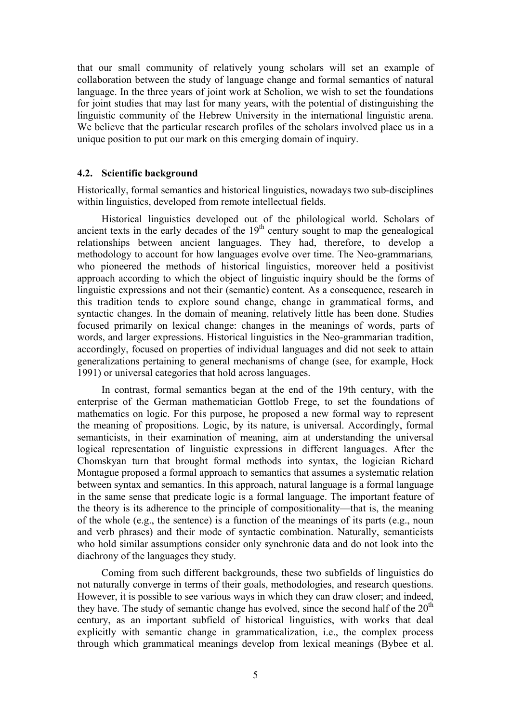that our small community of relatively young scholars will set an example of collaboration between the study of language change and formal semantics of natural language. In the three years of joint work at Scholion, we wish to set the foundations for joint studies that may last for many years, with the potential of distinguishing the linguistic community of the Hebrew University in the international linguistic arena. We believe that the particular research profiles of the scholars involved place us in a unique position to put our mark on this emerging domain of inquiry.

#### **4.2. Scientific background**

Historically, formal semantics and historical linguistics, nowadays two sub-disciplines within linguistics, developed from remote intellectual fields.

Historical linguistics developed out of the philological world. Scholars of ancient texts in the early decades of the  $19<sup>th</sup>$  century sought to map the genealogical relationships between ancient languages. They had, therefore, to develop a methodology to account for how languages evolve over time. The Neo-grammarians*,* who pioneered the methods of historical linguistics, moreover held a positivist approach according to which the object of linguistic inquiry should be the forms of linguistic expressions and not their (semantic) content. As a consequence, research in this tradition tends to explore sound change, change in grammatical forms, and syntactic changes. In the domain of meaning, relatively little has been done. Studies focused primarily on lexical change: changes in the meanings of words, parts of words, and larger expressions. Historical linguistics in the Neo-grammarian tradition, accordingly, focused on properties of individual languages and did not seek to attain generalizations pertaining to general mechanisms of change (see, for example, Hock 1991) or universal categories that hold across languages.

 In contrast, formal semantics began at the end of the 19th century, with the enterprise of the German mathematician Gottlob Frege, to set the foundations of mathematics on logic. For this purpose, he proposed a new formal way to represent the meaning of propositions. Logic, by its nature, is universal. Accordingly, formal semanticists, in their examination of meaning, aim at understanding the universal logical representation of linguistic expressions in different languages. After the Chomskyan turn that brought formal methods into syntax, the logician Richard Montague proposed a formal approach to semantics that assumes a systematic relation between syntax and semantics. In this approach, natural language is a formal language in the same sense that predicate logic is a formal language. The important feature of the theory is its adherence to the principle of compositionality—that is, the meaning of the whole (e.g., the sentence) is a function of the meanings of its parts (e.g., noun and verb phrases) and their mode of syntactic combination. Naturally, semanticists who hold similar assumptions consider only synchronic data and do not look into the diachrony of the languages they study.

 Coming from such different backgrounds, these two subfields of linguistics do not naturally converge in terms of their goals, methodologies, and research questions. However, it is possible to see various ways in which they can draw closer; and indeed, they have. The study of semantic change has evolved, since the second half of the  $20<sup>th</sup>$ century, as an important subfield of historical linguistics, with works that deal explicitly with semantic change in grammaticalization, i.e., the complex process through which grammatical meanings develop from lexical meanings (Bybee et al.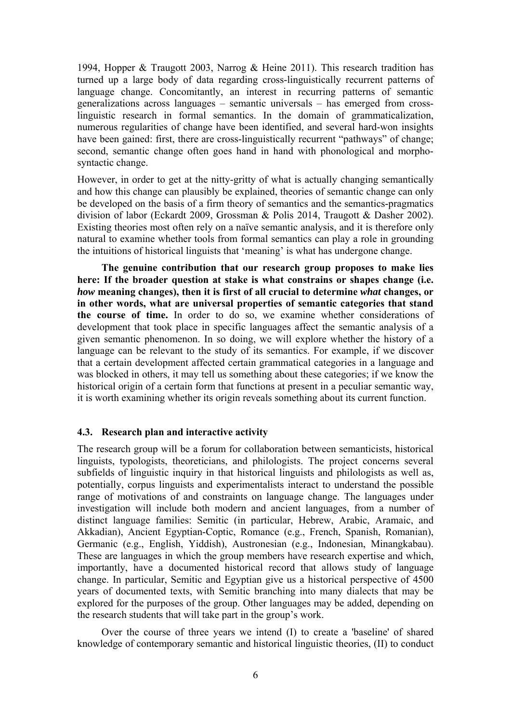1994, Hopper & Traugott 2003, Narrog & Heine 2011). This research tradition has turned up a large body of data regarding cross-linguistically recurrent patterns of language change. Concomitantly, an interest in recurring patterns of semantic generalizations across languages – semantic universals – has emerged from crosslinguistic research in formal semantics. In the domain of grammaticalization, numerous regularities of change have been identified, and several hard-won insights have been gained: first, there are cross-linguistically recurrent "pathways" of change; second, semantic change often goes hand in hand with phonological and morphosyntactic change.

However, in order to get at the nitty-gritty of what is actually changing semantically and how this change can plausibly be explained, theories of semantic change can only be developed on the basis of a firm theory of semantics and the semantics-pragmatics division of labor (Eckardt 2009, Grossman & Polis 2014, Traugott & Dasher 2002). Existing theories most often rely on a naïve semantic analysis, and it is therefore only natural to examine whether tools from formal semantics can play a role in grounding the intuitions of historical linguists that 'meaning' is what has undergone change.

**The genuine contribution that our research group proposes to make lies here: If the broader question at stake is what constrains or shapes change (i.e.**  *how* **meaning changes), then it is first of all crucial to determine** *what* **changes, or in other words, what are universal properties of semantic categories that stand the course of time.** In order to do so, we examine whether considerations of development that took place in specific languages affect the semantic analysis of a given semantic phenomenon. In so doing, we will explore whether the history of a language can be relevant to the study of its semantics. For example, if we discover that a certain development affected certain grammatical categories in a language and was blocked in others, it may tell us something about these categories; if we know the historical origin of a certain form that functions at present in a peculiar semantic way, it is worth examining whether its origin reveals something about its current function.

#### **4.3. Research plan and interactive activity**

The research group will be a forum for collaboration between semanticists, historical linguists, typologists, theoreticians, and philologists. The project concerns several subfields of linguistic inquiry in that historical linguists and philologists as well as, potentially, corpus linguists and experimentalists interact to understand the possible range of motivations of and constraints on language change. The languages under investigation will include both modern and ancient languages, from a number of distinct language families: Semitic (in particular, Hebrew, Arabic, Aramaic, and Akkadian), Ancient Egyptian-Coptic, Romance (e.g., French, Spanish, Romanian), Germanic (e.g., English, Yiddish), Austronesian (e.g., Indonesian, Minangkabau). These are languages in which the group members have research expertise and which, importantly, have a documented historical record that allows study of language change. In particular, Semitic and Egyptian give us a historical perspective of 4500 years of documented texts, with Semitic branching into many dialects that may be explored for the purposes of the group. Other languages may be added, depending on the research students that will take part in the group's work.

 Over the course of three years we intend (I) to create a 'baseline' of shared knowledge of contemporary semantic and historical linguistic theories, (II) to conduct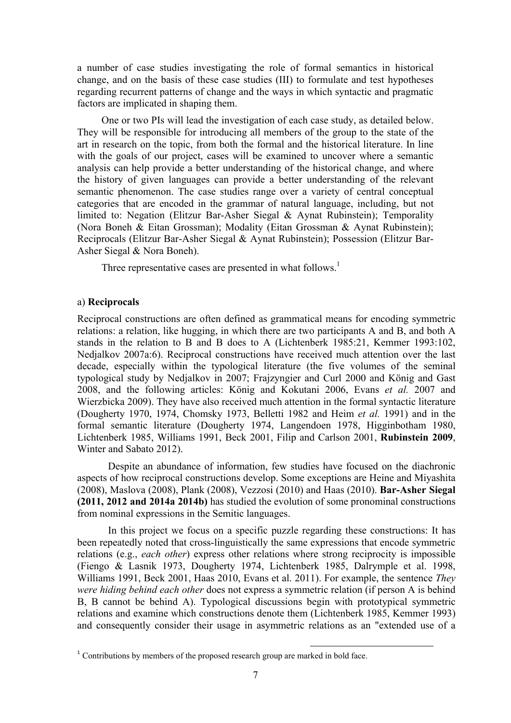a number of case studies investigating the role of formal semantics in historical change, and on the basis of these case studies (III) to formulate and test hypotheses regarding recurrent patterns of change and the ways in which syntactic and pragmatic factors are implicated in shaping them.

 One or two PIs will lead the investigation of each case study, as detailed below. They will be responsible for introducing all members of the group to the state of the art in research on the topic, from both the formal and the historical literature. In line with the goals of our project, cases will be examined to uncover where a semantic analysis can help provide a better understanding of the historical change, and where the history of given languages can provide a better understanding of the relevant semantic phenomenon. The case studies range over a variety of central conceptual categories that are encoded in the grammar of natural language, including, but not limited to: Negation (Elitzur Bar-Asher Siegal & Aynat Rubinstein); Temporality (Nora Boneh & Eitan Grossman); Modality (Eitan Grossman & Aynat Rubinstein); Reciprocals (Elitzur Bar-Asher Siegal & Aynat Rubinstein); Possession (Elitzur Bar-Asher Siegal & Nora Boneh).

Three representative cases are presented in what follows.<sup>1</sup>

#### a) **Reciprocals**

Reciprocal constructions are often defined as grammatical means for encoding symmetric relations: a relation, like hugging, in which there are two participants A and B, and both A stands in the relation to B and B does to A (Lichtenberk 1985:21, Kemmer 1993:102, Nedjalkov 2007a:6). Reciprocal constructions have received much attention over the last decade, especially within the typological literature (the five volumes of the seminal typological study by Nedjalkov in 2007; Frajzyngier and Curl 2000 and König and Gast 2008, and the following articles: König and Kokutani 2006, Evans *et al.* 2007 and Wierzbicka 2009). They have also received much attention in the formal syntactic literature (Dougherty 1970, 1974, Chomsky 1973, Belletti 1982 and Heim *et al.* 1991) and in the formal semantic literature (Dougherty 1974, Langendoen 1978, Higginbotham 1980, Lichtenberk 1985, Williams 1991, Beck 2001, Filip and Carlson 2001, **Rubinstein 2009**, Winter and Sabato 2012).

Despite an abundance of information, few studies have focused on the diachronic aspects of how reciprocal constructions develop. Some exceptions are Heine and Miyashita (2008), Maslova (2008), Plank (2008), Vezzosi (2010) and Haas (2010). **Bar-Asher Siegal (2011, 2012 and 2014a 2014b)** has studied the evolution of some pronominal constructions from nominal expressions in the Semitic languages.

In this project we focus on a specific puzzle regarding these constructions: It has been repeatedly noted that cross-linguistically the same expressions that encode symmetric relations (e.g., *each other*) express other relations where strong reciprocity is impossible (Fiengo & Lasnik 1973, Dougherty 1974, Lichtenberk 1985, Dalrymple et al. 1998, Williams 1991, Beck 2001, Haas 2010, Evans et al. 2011). For example, the sentence *They were hiding behind each other* does not express a symmetric relation (if person A is behind B, B cannot be behind A). Typological discussions begin with prototypical symmetric relations and examine which constructions denote them (Lichtenberk 1985, Kemmer 1993) and consequently consider their usage in asymmetric relations as an "extended use of a

 $1$  Contributions by members of the proposed research group are marked in bold face.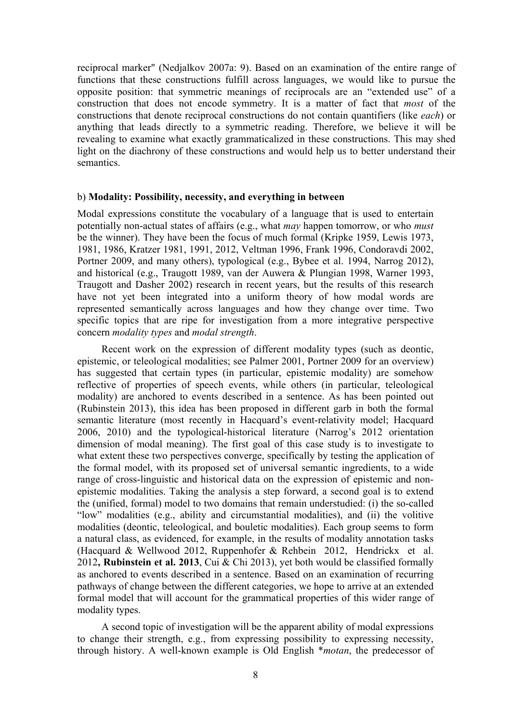reciprocal marker" (Nedjalkov 2007a: 9). Based on an examination of the entire range of functions that these constructions fulfill across languages, we would like to pursue the opposite position: that symmetric meanings of reciprocals are an "extended use" of a construction that does not encode symmetry. It is a matter of fact that *most* of the constructions that denote reciprocal constructions do not contain quantifiers (like *each*) or anything that leads directly to a symmetric reading. Therefore, we believe it will be revealing to examine what exactly grammaticalized in these constructions. This may shed light on the diachrony of these constructions and would help us to better understand their semantics.

#### b) **Modality: Possibility, necessity, and everything in between**

Modal expressions constitute the vocabulary of a language that is used to entertain potentially non-actual states of affairs (e.g., what *may* happen tomorrow, or who *must* be the winner). They have been the focus of much formal (Kripke 1959, Lewis 1973, 1981, 1986, Kratzer 1981, 1991, 2012, Veltman 1996, Frank 1996, Condoravdi 2002, Portner 2009, and many others), typological (e.g., Bybee et al. 1994, Narrog 2012), and historical (e.g., Traugott 1989, van der Auwera & Plungian 1998, Warner 1993, Traugott and Dasher 2002) research in recent years, but the results of this research have not yet been integrated into a uniform theory of how modal words are represented semantically across languages and how they change over time. Two specific topics that are ripe for investigation from a more integrative perspective concern *modality types* and *modal strength*.

 Recent work on the expression of different modality types (such as deontic, epistemic, or teleological modalities; see Palmer 2001, Portner 2009 for an overview) has suggested that certain types (in particular, epistemic modality) are somehow reflective of properties of speech events, while others (in particular, teleological modality) are anchored to events described in a sentence. As has been pointed out (Rubinstein 2013), this idea has been proposed in different garb in both the formal semantic literature (most recently in Hacquard's event-relativity model; Hacquard 2006, 2010) and the typological-historical literature (Narrog's 2012 orientation dimension of modal meaning). The first goal of this case study is to investigate to what extent these two perspectives converge, specifically by testing the application of the formal model, with its proposed set of universal semantic ingredients, to a wide range of cross-linguistic and historical data on the expression of epistemic and nonepistemic modalities. Taking the analysis a step forward, a second goal is to extend the (unified, formal) model to two domains that remain understudied: (i) the so-called "low" modalities (e.g., ability and circumstantial modalities), and (ii) the volitive modalities (deontic, teleological, and bouletic modalities). Each group seems to form a natural class, as evidenced, for example, in the results of modality annotation tasks (Hacquard & Wellwood 2012, Ruppenhofer & Rehbein 2012, Hendrickx et al. 2012**, Rubinstein et al. 2013**, Cui & Chi 2013), yet both would be classified formally as anchored to events described in a sentence. Based on an examination of recurring pathways of change between the different categories, we hope to arrive at an extended formal model that will account for the grammatical properties of this wider range of modality types.

 A second topic of investigation will be the apparent ability of modal expressions to change their strength, e.g., from expressing possibility to expressing necessity, through history. A well-known example is Old English \**motan*, the predecessor of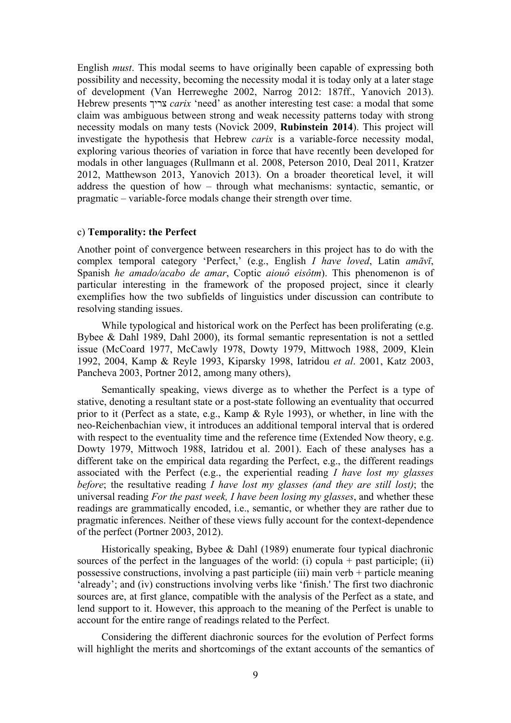English *must*. This modal seems to have originally been capable of expressing both possibility and necessity, becoming the necessity modal it is today only at a later stage of development (Van Herreweghe 2002, Narrog 2012: 187ff., Yanovich 2013). Hebrew presents צריך *carix* 'need' as another interesting test case: a modal that some claim was ambiguous between strong and weak necessity patterns today with strong necessity modals on many tests (Novick 2009, **Rubinstein 2014**). This project will investigate the hypothesis that Hebrew *carix* is a variable-force necessity modal, exploring various theories of variation in force that have recently been developed for modals in other languages (Rullmann et al. 2008, Peterson 2010, Deal 2011, Kratzer 2012, Matthewson 2013, Yanovich 2013). On a broader theoretical level, it will address the question of how – through what mechanisms: syntactic, semantic, or pragmatic – variable-force modals change their strength over time.

#### c) **Temporality: the Perfect**

Another point of convergence between researchers in this project has to do with the complex temporal category 'Perfect,' (e.g., English *I have loved*, Latin *amāvī*, Spanish *he amado/acabo de amar*, Coptic *aiouô eisôtm*). This phenomenon is of particular interesting in the framework of the proposed project, since it clearly exemplifies how the two subfields of linguistics under discussion can contribute to resolving standing issues.

While typological and historical work on the Perfect has been proliferating (e.g. Bybee & Dahl 1989, Dahl 2000), its formal semantic representation is not a settled issue (McCoard 1977, McCawly 1978, Dowty 1979, Mittwoch 1988, 2009, Klein 1992, 2004, Kamp & Reyle 1993, Kiparsky 1998, Iatridou *et al*. 2001, Katz 2003, Pancheva 2003, Portner 2012, among many others),

 Semantically speaking, views diverge as to whether the Perfect is a type of stative, denoting a resultant state or a post-state following an eventuality that occurred prior to it (Perfect as a state, e.g., Kamp & Ryle 1993), or whether, in line with the neo-Reichenbachian view, it introduces an additional temporal interval that is ordered with respect to the eventuality time and the reference time (Extended Now theory, e.g. Dowty 1979, Mittwoch 1988, Iatridou et al. 2001). Each of these analyses has a different take on the empirical data regarding the Perfect, e.g., the different readings associated with the Perfect (e.g., the experiential reading *I have lost my glasses before*; the resultative reading *I have lost my glasses (and they are still lost)*; the universal reading *For the past week, I have been losing my glasses*, and whether these readings are grammatically encoded, i.e., semantic, or whether they are rather due to pragmatic inferences. Neither of these views fully account for the context-dependence of the perfect (Portner 2003, 2012).

 Historically speaking, Bybee & Dahl (1989) enumerate four typical diachronic sources of the perfect in the languages of the world: (i) copula  $+$  past participle: (ii) possessive constructions, involving a past participle (iii) main verb + particle meaning 'already'; and (iv) constructions involving verbs like 'finish.' The first two diachronic sources are, at first glance, compatible with the analysis of the Perfect as a state, and lend support to it. However, this approach to the meaning of the Perfect is unable to account for the entire range of readings related to the Perfect.

 Considering the different diachronic sources for the evolution of Perfect forms will highlight the merits and shortcomings of the extant accounts of the semantics of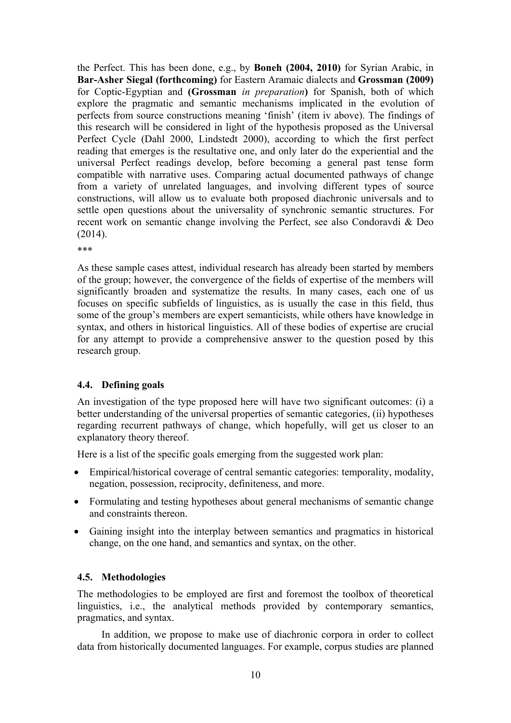the Perfect. This has been done, e.g., by **Boneh (2004, 2010)** for Syrian Arabic, in **Bar-Asher Siegal (forthcoming)** for Eastern Aramaic dialects and **Grossman (2009)** for Coptic-Egyptian and **(Grossman** *in preparation***)** for Spanish, both of which explore the pragmatic and semantic mechanisms implicated in the evolution of perfects from source constructions meaning 'finish' (item iv above). The findings of this research will be considered in light of the hypothesis proposed as the Universal Perfect Cycle (Dahl 2000, Lindstedt 2000), according to which the first perfect reading that emerges is the resultative one, and only later do the experiential and the universal Perfect readings develop, before becoming a general past tense form compatible with narrative uses. Comparing actual documented pathways of change from a variety of unrelated languages, and involving different types of source constructions, will allow us to evaluate both proposed diachronic universals and to settle open questions about the universality of synchronic semantic structures. For recent work on semantic change involving the Perfect, see also Condoravdi & Deo (2014).

\*\*\*

As these sample cases attest, individual research has already been started by members of the group; however, the convergence of the fields of expertise of the members will significantly broaden and systematize the results. In many cases, each one of us focuses on specific subfields of linguistics, as is usually the case in this field, thus some of the group's members are expert semanticists, while others have knowledge in syntax, and others in historical linguistics. All of these bodies of expertise are crucial for any attempt to provide a comprehensive answer to the question posed by this research group.

## **4.4. Defining goals**

An investigation of the type proposed here will have two significant outcomes: (i) a better understanding of the universal properties of semantic categories, (ii) hypotheses regarding recurrent pathways of change, which hopefully, will get us closer to an explanatory theory thereof.

Here is a list of the specific goals emerging from the suggested work plan:

- Empirical/historical coverage of central semantic categories: temporality, modality, negation, possession, reciprocity, definiteness, and more.
- Formulating and testing hypotheses about general mechanisms of semantic change and constraints thereon.
- Gaining insight into the interplay between semantics and pragmatics in historical change, on the one hand, and semantics and syntax, on the other.

## **4.5. Methodologies**

The methodologies to be employed are first and foremost the toolbox of theoretical linguistics, i.e., the analytical methods provided by contemporary semantics, pragmatics, and syntax.

 In addition, we propose to make use of diachronic corpora in order to collect data from historically documented languages. For example, corpus studies are planned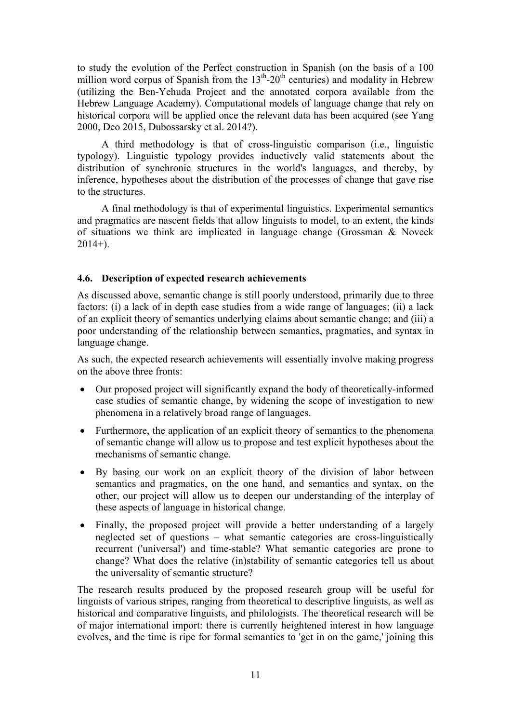to study the evolution of the Perfect construction in Spanish (on the basis of a 100 million word corpus of Spanish from the  $13<sup>th</sup>$ -20<sup>th</sup> centuries) and modality in Hebrew (utilizing the Ben-Yehuda Project and the annotated corpora available from the Hebrew Language Academy). Computational models of language change that rely on historical corpora will be applied once the relevant data has been acquired (see Yang 2000, Deo 2015, Dubossarsky et al. 2014?).

 A third methodology is that of cross-linguistic comparison (i.e., linguistic typology). Linguistic typology provides inductively valid statements about the distribution of synchronic structures in the world's languages, and thereby, by inference, hypotheses about the distribution of the processes of change that gave rise to the structures.

 A final methodology is that of experimental linguistics. Experimental semantics and pragmatics are nascent fields that allow linguists to model, to an extent, the kinds of situations we think are implicated in language change (Grossman & Noveck  $2014+$ ).

## **4.6. Description of expected research achievements**

As discussed above, semantic change is still poorly understood, primarily due to three factors: (i) a lack of in depth case studies from a wide range of languages; (ii) a lack of an explicit theory of semantics underlying claims about semantic change; and (iii) a poor understanding of the relationship between semantics, pragmatics, and syntax in language change.

As such, the expected research achievements will essentially involve making progress on the above three fronts:

- Our proposed project will significantly expand the body of theoretically-informed case studies of semantic change, by widening the scope of investigation to new phenomena in a relatively broad range of languages.
- Furthermore, the application of an explicit theory of semantics to the phenomena of semantic change will allow us to propose and test explicit hypotheses about the mechanisms of semantic change.
- By basing our work on an explicit theory of the division of labor between semantics and pragmatics, on the one hand, and semantics and syntax, on the other, our project will allow us to deepen our understanding of the interplay of these aspects of language in historical change.
- Finally, the proposed project will provide a better understanding of a largely neglected set of questions – what semantic categories are cross-linguistically recurrent ('universal') and time-stable? What semantic categories are prone to change? What does the relative (in)stability of semantic categories tell us about the universality of semantic structure?

The research results produced by the proposed research group will be useful for linguists of various stripes, ranging from theoretical to descriptive linguists, as well as historical and comparative linguists, and philologists. The theoretical research will be of major international import: there is currently heightened interest in how language evolves, and the time is ripe for formal semantics to 'get in on the game,' joining this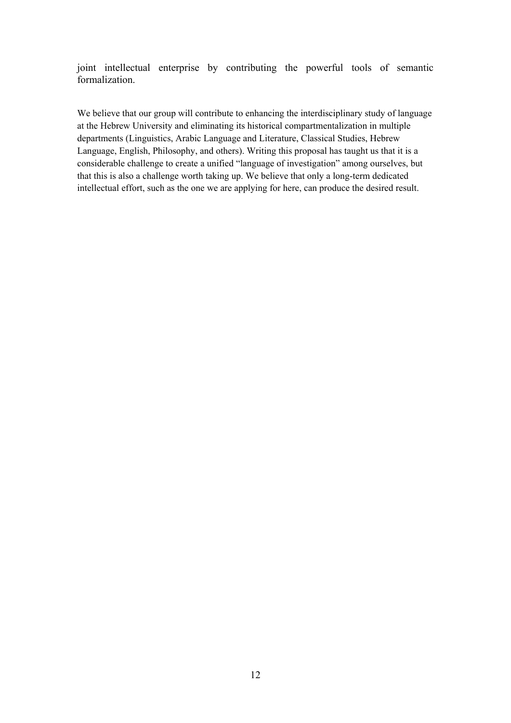joint intellectual enterprise by contributing the powerful tools of semantic formalization.

We believe that our group will contribute to enhancing the interdisciplinary study of language at the Hebrew University and eliminating its historical compartmentalization in multiple departments (Linguistics, Arabic Language and Literature, Classical Studies, Hebrew Language, English, Philosophy, and others). Writing this proposal has taught us that it is a considerable challenge to create a unified "language of investigation" among ourselves, but that this is also a challenge worth taking up. We believe that only a long-term dedicated intellectual effort, such as the one we are applying for here, can produce the desired result.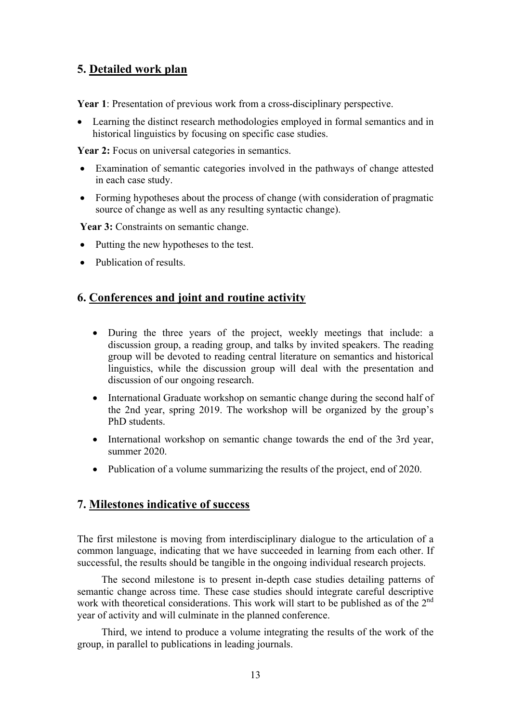# **5. Detailed work plan**

**Year 1**: Presentation of previous work from a cross-disciplinary perspective.

 Learning the distinct research methodologies employed in formal semantics and in historical linguistics by focusing on specific case studies.

Year 2: Focus on universal categories in semantics.

- Examination of semantic categories involved in the pathways of change attested in each case study.
- Forming hypotheses about the process of change (with consideration of pragmatic source of change as well as any resulting syntactic change).

Year 3: Constraints on semantic change.

- Putting the new hypotheses to the test.
- Publication of results.

## **6. Conferences and joint and routine activity**

- During the three years of the project, weekly meetings that include: a discussion group, a reading group, and talks by invited speakers. The reading group will be devoted to reading central literature on semantics and historical linguistics, while the discussion group will deal with the presentation and discussion of our ongoing research.
- International Graduate workshop on semantic change during the second half of the 2nd year, spring 2019. The workshop will be organized by the group's PhD students.
- International workshop on semantic change towards the end of the 3rd year, summer 2020.
- Publication of a volume summarizing the results of the project, end of 2020.

## **7. Milestones indicative of success**

The first milestone is moving from interdisciplinary dialogue to the articulation of a common language, indicating that we have succeeded in learning from each other. If successful, the results should be tangible in the ongoing individual research projects.

 The second milestone is to present in-depth case studies detailing patterns of semantic change across time. These case studies should integrate careful descriptive work with theoretical considerations. This work will start to be published as of the  $2<sup>nd</sup>$ year of activity and will culminate in the planned conference.

 Third, we intend to produce a volume integrating the results of the work of the group, in parallel to publications in leading journals.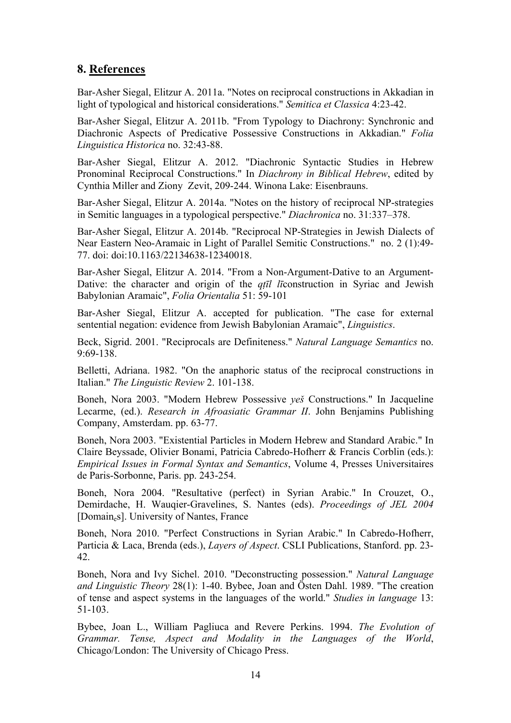## **8. References**

Bar-Asher Siegal, Elitzur A. 2011a. "Notes on reciprocal constructions in Akkadian in light of typological and historical considerations." *Semitica et Classica* 4:23-42.

Bar-Asher Siegal, Elitzur A. 2011b. "From Typology to Diachrony: Synchronic and Diachronic Aspects of Predicative Possessive Constructions in Akkadian." *Folia Linguistica Historica* no. 32:43-88.

Bar-Asher Siegal, Elitzur A. 2012. "Diachronic Syntactic Studies in Hebrew Pronominal Reciprocal Constructions." In *Diachrony in Biblical Hebrew*, edited by Cynthia Miller and Ziony Zevit, 209-244. Winona Lake: Eisenbrauns.

Bar-Asher Siegal, Elitzur A. 2014a. "Notes on the history of reciprocal NP-strategies in Semitic languages in a typological perspective." *Diachronica* no. 31:337–378.

Bar-Asher Siegal, Elitzur A. 2014b. "Reciprocal NP-Strategies in Jewish Dialects of Near Eastern Neo-Aramaic in Light of Parallel Semitic Constructions." no. 2 (1):49- 77. doi: doi:10.1163/22134638-12340018.

Bar-Asher Siegal, Elitzur A. 2014. "From a Non-Argument-Dative to an Argument-Dative: the character and origin of the *qṭīl lī*construction in Syriac and Jewish Babylonian Aramaic", *Folia Orientalia* 51: 59-101

Bar-Asher Siegal, Elitzur A. accepted for publication. "The case for external sentential negation: evidence from Jewish Babylonian Aramaic", *Linguistics*.

Beck, Sigrid. 2001. "Reciprocals are Definiteness." *Natural Language Semantics* no. 9:69-138.

Belletti, Adriana. 1982. "On the anaphoric status of the reciprocal constructions in Italian." *The Linguistic Review* 2. 101-138.

Boneh, Nora 2003. "Modern Hebrew Possessive *yeš* Constructions." In Jacqueline Lecarme, (ed.). *Research in Afroasiatic Grammar II*. John Benjamins Publishing Company, Amsterdam. pp. 63-77.

Boneh, Nora 2003. "Existential Particles in Modern Hebrew and Standard Arabic." In Claire Beyssade, Olivier Bonami, Patricia Cabredo-Hofherr & Francis Corblin (eds.): *Empirical Issues in Formal Syntax and Semantics*, Volume 4, Presses Universitaires de Paris-Sorbonne, Paris. pp. 243-254.

Boneh, Nora 2004. "Resultative (perfect) in Syrian Arabic." In Crouzet, O., Demirdache, H. Wauqier-Gravelines, S. Nantes (eds). *Proceedings of JEL 2004* [Domaines]. University of Nantes, France

Boneh, Nora 2010. "Perfect Constructions in Syrian Arabic." In Cabredo-Hofherr, Particia & Laca, Brenda (eds.), *Layers of Aspect*. CSLI Publications, Stanford. pp. 23- 42.

Boneh, Nora and Ivy Sichel. 2010. "Deconstructing possession." *Natural Language and Linguistic Theory* 28(1): 1-40. Bybee, Joan and Östen Dahl. 1989. "The creation of tense and aspect systems in the languages of the world." *Studies in language* 13: 51-103.

Bybee, Joan L., William Pagliuca and Revere Perkins. 1994. *The Evolution of Grammar. Tense, Aspect and Modality in the Languages of the World*, Chicago/London: The University of Chicago Press.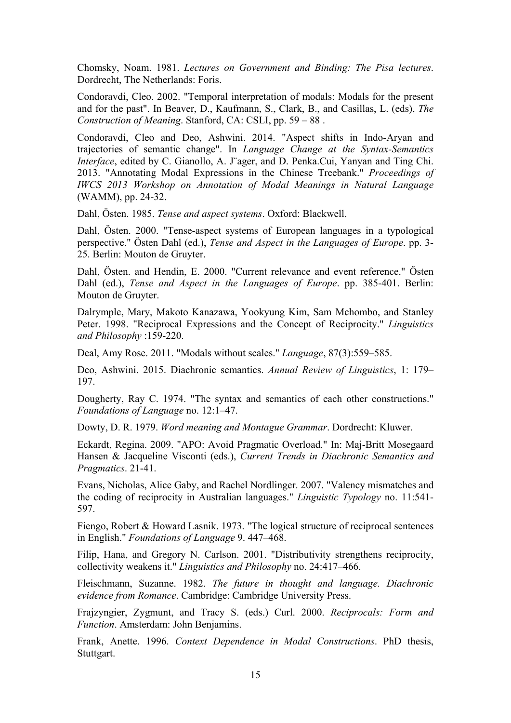Chomsky, Noam. 1981. *Lectures on Government and Binding: The Pisa lectures*. Dordrecht, The Netherlands: Foris.

Condoravdi, Cleo. 2002. "Temporal interpretation of modals: Modals for the present and for the past". In Beaver, D., Kaufmann, S., Clark, B., and Casillas, L. (eds), *The Construction of Meaning*. Stanford, CA: CSLI, pp. 59 – 88 .

Condoravdi, Cleo and Deo, Ashwini. 2014. "Aspect shifts in Indo-Aryan and trajectories of semantic change". In *Language Change at the Syntax-Semantics Interface*, edited by C. Gianollo, A. J"ager, and D. Penka.Cui, Yanyan and Ting Chi. 2013. "Annotating Modal Expressions in the Chinese Treebank." *Proceedings of IWCS 2013 Workshop on Annotation of Modal Meanings in Natural Language* (WAMM), pp. 24-32.

Dahl, Östen. 1985. *Tense and aspect systems*. Oxford: Blackwell.

Dahl, Östen. 2000. "Tense-aspect systems of European languages in a typological perspective." Östen Dahl (ed.), *Tense and Aspect in the Languages of Europe*. pp. 3- 25. Berlin: Mouton de Gruyter.

Dahl, Östen. and Hendin, E. 2000. "Current relevance and event reference." Östen Dahl (ed.), *Tense and Aspect in the Languages of Europe*. pp. 385-401. Berlin: Mouton de Gruyter.

Dalrymple, Mary, Makoto Kanazawa, Yookyung Kim, Sam Mchombo, and Stanley Peter. 1998. "Reciprocal Expressions and the Concept of Reciprocity." *Linguistics and Philosophy* :159-220.

Deal, Amy Rose. 2011. "Modals without scales." *Language*, 87(3):559–585.

Deo, Ashwini. 2015. Diachronic semantics. *Annual Review of Linguistics*, 1: 179– 197.

Dougherty, Ray C. 1974. "The syntax and semantics of each other constructions." *Foundations of Language* no. 12:1–47.

Dowty, D. R. 1979. *Word meaning and Montague Grammar*. Dordrecht: Kluwer.

Eckardt, Regina. 2009. "APO: Avoid Pragmatic Overload." In: Maj-Britt Mosegaard Hansen & Jacqueline Visconti (eds.), *Current Trends in Diachronic Semantics and Pragmatics*. 21-41.

Evans, Nicholas, Alice Gaby, and Rachel Nordlinger. 2007. "Valency mismatches and the coding of reciprocity in Australian languages." *Linguistic Typology* no. 11:541- 597.

Fiengo, Robert & Howard Lasnik. 1973. "The logical structure of reciprocal sentences in English." *Foundations of Language* 9. 447–468.

Filip, Hana, and Gregory N. Carlson. 2001. "Distributivity strengthens reciprocity, collectivity weakens it." *Linguistics and Philosophy* no. 24:417–466.

Fleischmann, Suzanne. 1982. *The future in thought and language. Diachronic evidence from Romance*. Cambridge: Cambridge University Press.

Frajzyngier, Zygmunt, and Tracy S. (eds.) Curl. 2000. *Reciprocals: Form and Function*. Amsterdam: John Benjamins.

Frank, Anette. 1996. *Context Dependence in Modal Constructions*. PhD thesis, Stuttgart.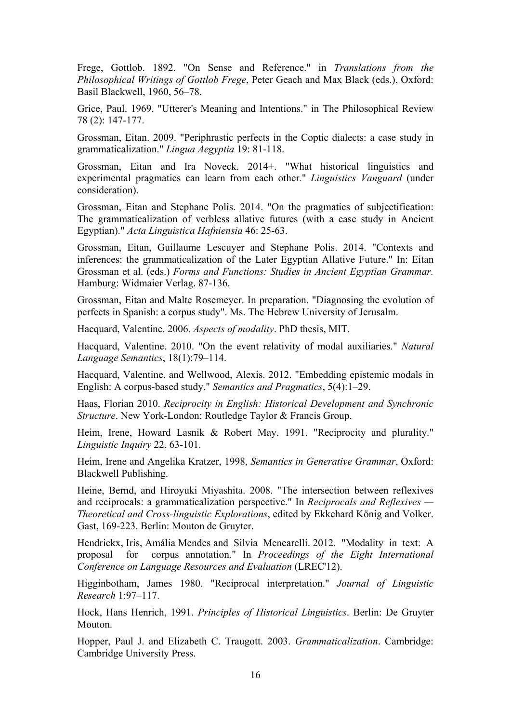Frege, Gottlob. 1892. "On Sense and Reference." in *Translations from the Philosophical Writings of Gottlob Frege*, Peter Geach and Max Black (eds.), Oxford: Basil Blackwell, 1960, 56–78.

Grice, Paul. 1969. "Utterer's Meaning and Intentions." in The Philosophical Review 78 (2): 147-177.

Grossman, Eitan. 2009. "Periphrastic perfects in the Coptic dialects: a case study in grammaticalization." *Lingua Aegyptia* 19: 81-118.

Grossman, Eitan and Ira Noveck. 2014+. "What historical linguistics and experimental pragmatics can learn from each other." *Linguistics Vanguard* (under consideration).

Grossman, Eitan and Stephane Polis. 2014. "On the pragmatics of subjectification: The grammaticalization of verbless allative futures (with a case study in Ancient Egyptian)." *Acta Linguistica Hafniensia* 46: 25-63.

Grossman, Eitan, Guillaume Lescuyer and Stephane Polis. 2014. "Contexts and inferences: the grammaticalization of the Later Egyptian Allative Future." In: Eitan Grossman et al. (eds.) *Forms and Functions: Studies in Ancient Egyptian Grammar.* Hamburg: Widmaier Verlag. 87-136.

Grossman, Eitan and Malte Rosemeyer. In preparation. "Diagnosing the evolution of perfects in Spanish: a corpus study". Ms. The Hebrew University of Jerusalm.

Hacquard, Valentine. 2006. *Aspects of modality*. PhD thesis, MIT.

Hacquard, Valentine. 2010. "On the event relativity of modal auxiliaries." *Natural Language Semantics*, 18(1):79–114.

Hacquard, Valentine. and Wellwood, Alexis. 2012. "Embedding epistemic modals in English: A corpus-based study." *Semantics and Pragmatics*, 5(4):1–29.

Haas, Florian 2010. *Reciprocity in English: Historical Development and Synchronic Structure*. New York-London: Routledge Taylor & Francis Group.

Heim, Irene, Howard Lasnik & Robert May. 1991. "Reciprocity and plurality." *Linguistic Inquiry* 22. 63-101.

Heim, Irene and Angelika Kratzer, 1998, *Semantics in Generative Grammar*, Oxford: Blackwell Publishing.

Heine, Bernd, and Hiroyuki Miyashita. 2008. "The intersection between reflexives and reciprocals: a grammaticalization perspective." In *Reciprocals and Reflexives — Theoretical and Cross-linguistic Explorations*, edited by Ekkehard König and Volker. Gast, 169-223. Berlin: Mouton de Gruyter.

Hendrickx, Iris, Amália Mendes and Silvia Mencarelli. 2012. "Modality in text: A proposal for corpus annotation." In *Proceedings of the Eight International Conference on Language Resources and Evaluation* (LREC'12).

Higginbotham, James 1980. "Reciprocal interpretation." *Journal of Linguistic Research* 1:97–117.

Hock, Hans Henrich, 1991. *Principles of Historical Linguistics*. Berlin: De Gruyter Mouton.

Hopper, Paul J. and Elizabeth C. Traugott. 2003. *Grammaticalization*. Cambridge: Cambridge University Press.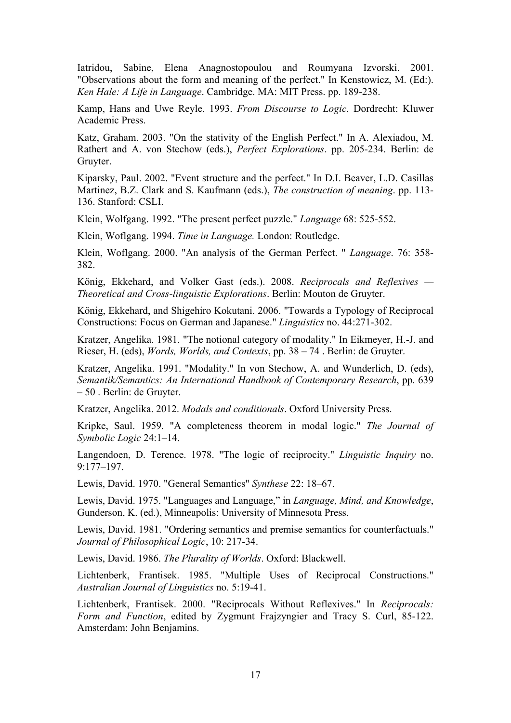Iatridou, Sabine, Elena Anagnostopoulou and Roumyana Izvorski. 2001. "Observations about the form and meaning of the perfect." In Kenstowicz, M. (Ed:). *Ken Hale: A Life in Language*. Cambridge. MA: MIT Press. pp. 189-238.

Kamp, Hans and Uwe Reyle. 1993. *From Discourse to Logic.* Dordrecht: Kluwer Academic Press.

Katz, Graham. 2003. "On the stativity of the English Perfect." In A. Alexiadou, M. Rathert and A. von Stechow (eds.), *Perfect Explorations*. pp. 205-234. Berlin: de Gruyter.

Kiparsky, Paul. 2002. "Event structure and the perfect." In D.I. Beaver, L.D. Casillas Martinez, B.Z. Clark and S. Kaufmann (eds.), *The construction of meaning*. pp. 113- 136. Stanford: CSLI.

Klein, Wolfgang. 1992. "The present perfect puzzle." *Language* 68: 525-552.

Klein, Woflgang. 1994. *Time in Language.* London: Routledge.

Klein, Woflgang. 2000. "An analysis of the German Perfect. " *Language*. 76: 358- 382.

König, Ekkehard, and Volker Gast (eds.). 2008. *Reciprocals and Reflexives — Theoretical and Cross-linguistic Explorations*. Berlin: Mouton de Gruyter.

König, Ekkehard, and Shigehiro Kokutani. 2006. "Towards a Typology of Reciprocal Constructions: Focus on German and Japanese." *Linguistics* no. 44:271-302.

Kratzer, Angelika. 1981. "The notional category of modality." In Eikmeyer, H.-J. and Rieser, H. (eds), *Words, Worlds, and Contexts*, pp. 38 – 74 . Berlin: de Gruyter.

Kratzer, Angelika. 1991. "Modality." In von Stechow, A. and Wunderlich, D. (eds), *Semantik/Semantics: An International Handbook of Contemporary Research*, pp. 639 – 50 . Berlin: de Gruyter.

Kratzer, Angelika. 2012. *Modals and conditionals*. Oxford University Press.

Kripke, Saul. 1959. "A completeness theorem in modal logic." *The Journal of Symbolic Logic* 24:1–14.

Langendoen, D. Terence. 1978. "The logic of reciprocity." *Linguistic Inquiry* no. 9:177–197.

Lewis, David. 1970. "General Semantics" *Synthese* 22: 18–67.

Lewis, David. 1975. "Languages and Language," in *Language, Mind, and Knowledge*, Gunderson, K. (ed.), Minneapolis: University of Minnesota Press.

Lewis, David. 1981. "Ordering semantics and premise semantics for counterfactuals." *Journal of Philosophical Logic*, 10: 217-34.

Lewis, David. 1986. *The Plurality of Worlds*. Oxford: Blackwell.

Lichtenberk, Frantisek. 1985. "Multiple Uses of Reciprocal Constructions." *Australian Journal of Linguistics* no. 5:19-41.

Lichtenberk, Frantisek. 2000. "Reciprocals Without Reflexives." In *Reciprocals: Form and Function*, edited by Zygmunt Frajzyngier and Tracy S. Curl, 85-122. Amsterdam: John Benjamins.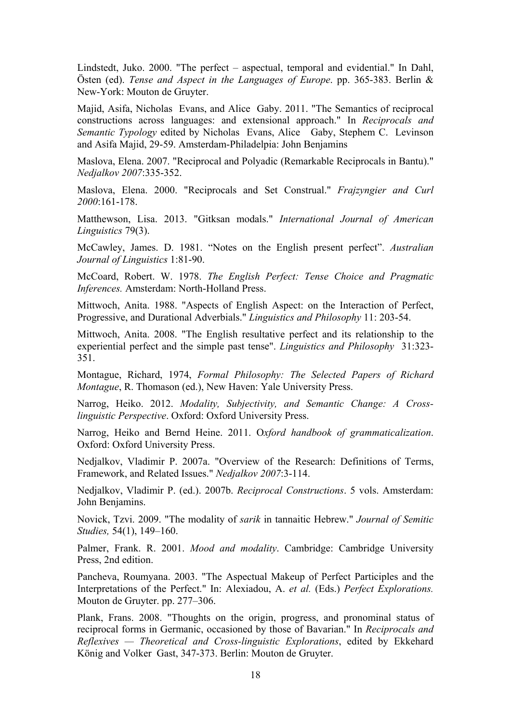Lindstedt, Juko. 2000. "The perfect – aspectual, temporal and evidential." In Dahl, Östen (ed). *Tense and Aspect in the Languages of Europe*. pp. 365-383. Berlin & New-York: Mouton de Gruyter.

Majid, Asifa, Nicholas Evans, and Alice Gaby. 2011. "The Semantics of reciprocal constructions across languages: and extensional approach." In *Reciprocals and Semantic Typology* edited by Nicholas Evans, Alice Gaby, Stephem C. Levinson and Asifa Majid, 29-59. Amsterdam-Philadelpia: John Benjamins

Maslova, Elena. 2007. "Reciprocal and Polyadic (Remarkable Reciprocals in Bantu)." *Nedjalkov 2007*:335-352.

Maslova, Elena. 2000. "Reciprocals and Set Construal." *Frajzyngier and Curl 2000*:161-178.

Matthewson, Lisa. 2013. "Gitksan modals." *International Journal of American Linguistics* 79(3).

McCawley, James. D. 1981. "Notes on the English present perfect". *Australian Journal of Linguistics* 1:81-90.

McCoard, Robert. W. 1978. *The English Perfect: Tense Choice and Pragmatic Inferences.* Amsterdam: North-Holland Press.

Mittwoch, Anita. 1988. "Aspects of English Aspect: on the Interaction of Perfect, Progressive, and Durational Adverbials." *Linguistics and Philosophy* 11: 203-54.

Mittwoch, Anita. 2008. "The English resultative perfect and its relationship to the experiential perfect and the simple past tense". *Linguistics and Philosophy* 31:323- 351.

Montague, Richard, 1974, *Formal Philosophy: The Selected Papers of Richard Montague*, R. Thomason (ed.), New Haven: Yale University Press.

Narrog, Heiko. 2012. *Modality, Subjectivity, and Semantic Change: A Crosslinguistic Perspective*. Oxford: Oxford University Press.

Narrog, Heiko and Bernd Heine. 2011. O*xford handbook of grammaticalization*. Oxford: Oxford University Press.

Nedjalkov, Vladimir P. 2007a. "Overview of the Research: Definitions of Terms, Framework, and Related Issues." *Nedjalkov 2007*:3-114.

Nedjalkov, Vladimir P. (ed.). 2007b. *Reciprocal Constructions*. 5 vols. Amsterdam: John Benjamins.

Novick, Tzvi. 2009. "The modality of *sarik* in tannaitic Hebrew." *Journal of Semitic Studies,* 54(1), 149–160.

Palmer, Frank. R. 2001. *Mood and modality*. Cambridge: Cambridge University Press, 2nd edition.

Pancheva, Roumyana. 2003. "The Aspectual Makeup of Perfect Participles and the Interpretations of the Perfect." In: Alexiadou, A. *et al.* (Eds.) *Perfect Explorations.* Mouton de Gruyter. pp. 277–306.

Plank, Frans. 2008. "Thoughts on the origin, progress, and pronominal status of reciprocal forms in Germanic, occasioned by those of Bavarian." In *Reciprocals and Reflexives — Theoretical and Cross-linguistic Explorations*, edited by Ekkehard König and Volker Gast, 347-373. Berlin: Mouton de Gruyter.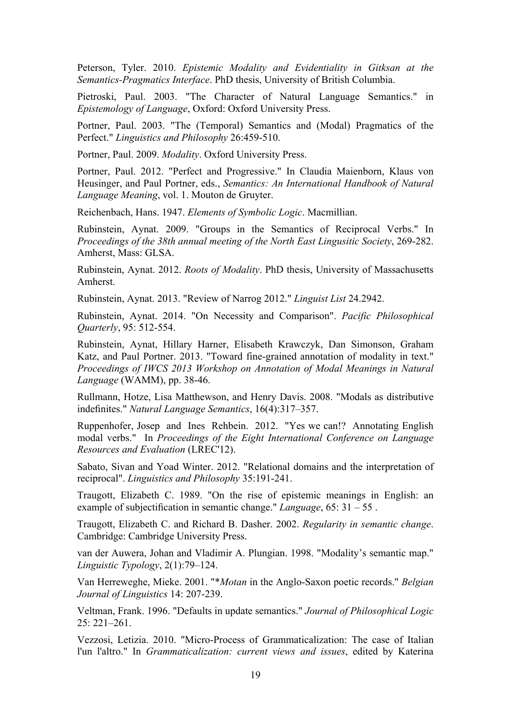Peterson, Tyler. 2010. *Epistemic Modality and Evidentiality in Gitksan at the Semantics-Pragmatics Interface*. PhD thesis, University of British Columbia.

Pietroski, Paul. 2003. "The Character of Natural Language Semantics." in *Epistemology of Language*, Oxford: Oxford University Press.

Portner, Paul. 2003. "The (Temporal) Semantics and (Modal) Pragmatics of the Perfect." *Linguistics and Philosophy* 26:459-510.

Portner, Paul. 2009. *Modality*. Oxford University Press.

Portner, Paul. 2012. "Perfect and Progressive." In Claudia Maienborn, Klaus von Heusinger, and Paul Portner, eds., *Semantics: An International Handbook of Natural Language Meaning*, vol. 1. Mouton de Gruyter.

Reichenbach, Hans. 1947. *Elements of Symbolic Logic*. Macmillian.

Rubinstein, Aynat. 2009. "Groups in the Semantics of Reciprocal Verbs." In *Proceedings of the 38th annual meeting of the North East Lingusitic Society*, 269-282. Amherst, Mass: GLSA.

Rubinstein, Aynat. 2012. *Roots of Modality*. PhD thesis, University of Massachusetts Amherst.

Rubinstein, Aynat. 2013. "Review of Narrog 2012." *Linguist List* 24.2942.

Rubinstein, Aynat. 2014. "On Necessity and Comparison". *Pacific Philosophical Quarterly*, 95: 512-554.

Rubinstein, Aynat, Hillary Harner, Elisabeth Krawczyk, Dan Simonson, Graham Katz, and Paul Portner. 2013. "Toward fine-grained annotation of modality in text." *Proceedings of IWCS 2013 Workshop on Annotation of Modal Meanings in Natural Language* (WAMM), pp. 38-46.

Rullmann, Hotze, Lisa Matthewson, and Henry Davis. 2008. "Modals as distributive indefinites." *Natural Language Semantics*, 16(4):317–357.

Ruppenhofer, Josep and Ines Rehbein. 2012. "Yes we can!? Annotating English modal verbs." In *Proceedings of the Eight International Conference on Language Resources and Evaluation* (LREC'12).

Sabato, Sivan and Yoad Winter. 2012. "Relational domains and the interpretation of reciprocal". *Linguistics and Philosophy* 35:191-241.

Traugott, Elizabeth C. 1989. "On the rise of epistemic meanings in English: an example of subjectification in semantic change." *Language*, 65: 31 – 55 .

Traugott, Elizabeth C. and Richard B. Dasher. 2002. *Regularity in semantic change*. Cambridge: Cambridge University Press.

van der Auwera, Johan and Vladimir A. Plungian. 1998. "Modality's semantic map." *Linguistic Typology*, 2(1):79–124.

Van Herreweghe, Mieke. 2001. "\**Motan* in the Anglo-Saxon poetic records." *Belgian Journal of Linguistics* 14: 207-239.

Veltman, Frank. 1996. "Defaults in update semantics." *Journal of Philosophical Logic* 25: 221–261.

Vezzosi, Letizia. 2010. "Micro-Process of Grammaticalization: The case of Italian l'un l'altro." In *Grammaticalization: current views and issues*, edited by Katerina